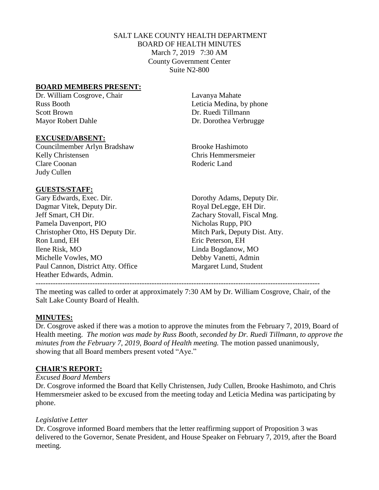# SALT LAKE COUNTY HEALTH DEPARTMENT BOARD OF HEALTH MINUTES March 7, 2019 7:30 AM County Government Center Suite N2-800

### **BOARD MEMBERS PRESENT:**

Dr. William Cosgrove, Chair Lavanya Mahate Russ Booth **Leticia Medina**, by phone Scott Brown Dr. Ruedi Tillmann Mayor Robert Dahle Dr. Dorothea Verbrugge

#### **EXCUSED/ABSENT:**

Councilmember Arlyn Bradshaw Brooke Hashimoto Kelly Christensen Chris Hemmersmeier Clare Coonan Roderic Land Judy Cullen

### **GUESTS/STAFF:**

Gary Edwards, Exec. Dir. Dorothy Adams, Deputy Dir. Dagmar Vitek, Deputy Dir. Royal DeLegge, EH Dir. Jeff Smart, CH Dir. Zachary Stovall, Fiscal Mng. Pamela Davenport, PIO Nicholas Rupp, PIO Christopher Otto, HS Deputy Dir. Mitch Park, Deputy Dist. Atty. Ron Lund, EH Eric Peterson, EH Ilene Risk, MO Linda Bogdanow, MO Michelle Vowles, MO Debby Vanetti, Admin Paul Cannon, District Atty. Office Margaret Lund, Student Heather Edwards, Admin. -------------------------------------------------------------------------------------------------------------------

The meeting was called to order at approximately 7:30 AM by Dr. William Cosgrove, Chair, of the Salt Lake County Board of Health.

# **MINUTES:**

Dr. Cosgrove asked if there was a motion to approve the minutes from the February 7, 2019, Board of Health meeting. *The motion was made by Russ Booth, seconded by Dr. Ruedi Tillmann, to approve the minutes from the February 7, 2019, Board of Health meeting.* The motion passed unanimously, showing that all Board members present voted "Aye."

# **CHAIR'S REPORT:**

### *Excused Board Members*

Dr. Cosgrove informed the Board that Kelly Christensen, Judy Cullen, Brooke Hashimoto, and Chris Hemmersmeier asked to be excused from the meeting today and Leticia Medina was participating by phone.

### *Legislative Letter*

Dr. Cosgrove informed Board members that the letter reaffirming support of Proposition 3 was delivered to the Governor, Senate President, and House Speaker on February 7, 2019, after the Board meeting.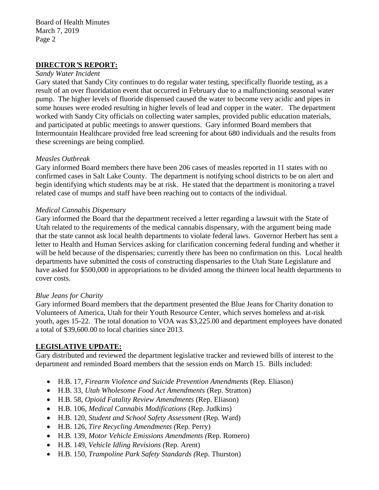### **DIRECTOR***'***S REPORT:**

#### *Sandy Water Incident*

Gary stated that Sandy City continues to do regular water testing, specifically fluoride testing, as a result of an over fluoridation event that occurred in February due to a malfunctioning seasonal water pump. The higher levels of fluoride dispensed caused the water to become very acidic and pipes in some houses were eroded resulting in higher levels of lead and copper in the water. The department worked with Sandy City officials on collecting water samples, provided public education materials, and participated at public meetings to answer questions. Gary informed Board members that Intermountain Healthcare provided free lead screening for about 680 individuals and the results from these screenings are being complied.

### *Measles Outbreak*

Gary informed Board members there have been 206 cases of measles reported in 11 states with no confirmed cases in Salt Lake County. The department is notifying school districts to be on alert and begin identifying which students may be at risk. He stated that the department is monitoring a travel related case of mumps and staff have been reaching out to contacts of the individual.

### *Medical Cannabis Dispensary*

Gary informed the Board that the department received a letter regarding a lawsuit with the State of Utah related to the requirements of the medical cannabis dispensary, with the argument being made that the state cannot ask local health departments to violate federal laws. Governor Herbert has sent a letter to Health and Human Services asking for clarification concerning federal funding and whether it will be held because of the dispensaries; currently there has been no confirmation on this. Local health departments have submitted the costs of constructing dispensaries to the Utah State Legislature and have asked for \$500,000 in appropriations to be divided among the thirteen local health departments to cover costs.

### *Blue Jeans for Charity*

Gary informed Board members that the department presented the Blue Jeans for Charity donation to Volunteers of America, Utah for their Youth Resource Center, which serves homeless and at-risk youth, ages 15-22. The total donation to VOA was \$3,225.00 and department employees have donated a total of \$39,600.00 to local charities since 2013.

# **LEGISLATIVE UPDATE:**

Gary distributed and reviewed the department legislative tracker and reviewed bills of interest to the department and reminded Board members that the session ends on March 15. Bills included:

- H.B. 17, *Firearm Violence and Suicide Prevention Amendments* (Rep. Eliason)
- H.B. 33, *Utah Wholesome Food Act Amendments* (Rep. Stratton)
- H.B. 58, *Opioid Fatality Review Amendments* (Rep. Eliason)
- H.B. 106, *Medical Cannabis Modifications* (Rep. Judkins)
- H.B. 120, *Student and School Safety Assessment* (Rep. Ward)
- H.B. 126, *Tire Recycling Amendments (*Rep. Perry)
- H.B. 139, *Motor Vehicle Emissions Amendments (*Rep. Romero)
- H.B. 149, *Vehicle Idling Revisions (*Rep. Arent)
- H.B. 150, *Trampoline Park Safety Standards (*Rep. Thurston)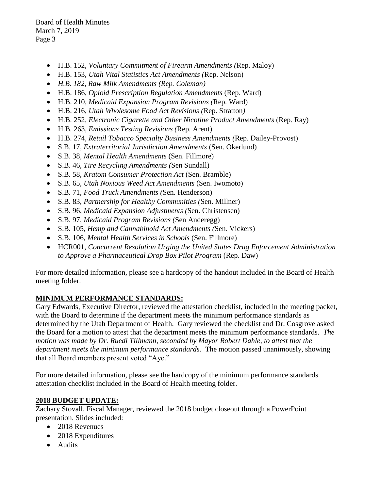- H.B. 152, *Voluntary Commitment of Firearm Amendments (*Rep. Maloy)
- H.B. 153, *Utah Vital Statistics Act Amendments (*Rep. Nelson)
- *H.B. 182, Raw Milk Amendments (Rep. Coleman)*
- H.B. 186, *Opioid Prescription Regulation Amendments* (Rep. Ward)
- H.B. 210, *Medicaid Expansion Program Revisions (*Rep. Ward)
- H.B. 216, *Utah Wholesome Food Act Revisions (*Rep. Stratton*)*
- H.B. 252, *Electronic Cigarette and Other Nicotine Product Amendments* (Rep. Ray)
- H.B. 263, *Emissions Testing Revisions (*Rep. Arent)
- H.B. 274, *Retail Tobacco Specialty Business Amendments (*Rep. Dailey-Provost)
- S.B. 17, *Extraterritorial Jurisdiction Amendments* (Sen. Okerlund)
- S.B. 38, *Mental Health Amendments* (Sen. Fillmore)
- S.B. 46, *Tire Recycling Amendments (*Sen Sundall)
- S.B. 58, *Kratom Consumer Protection Act* (Sen. Bramble)
- S.B. 65, *Utah Noxious Weed Act Amendments* (Sen. Iwomoto)
- S.B. 71, *Food Truck Amendments (*Sen. Henderson)
- S.B. 83, *Partnership for Healthy Communities (*Sen. Millner)
- S.B. 96, *Medicaid Expansion Adjustments (*Sen. Christensen)
- S.B. 97, *Medicaid Program Revisions (*Sen Anderegg)
- S.B. 105, *Hemp and Cannabinoid Act Amendments (*Sen. Vickers)
- S.B. 106, *Mental Health Services in Schools* (Sen. Fillmore)
- HCR001, *Concurrent Resolution Urging the United States Drug Enforcement Administration to Approve a Pharmaceutical Drop Box Pilot Program* (Rep. Daw)

For more detailed information, please see a hardcopy of the handout included in the Board of Health meeting folder.

# **MINIMUM PERFORMANCE STANDARDS:**

Gary Edwards, Executive Director, reviewed the attestation checklist, included in the meeting packet, with the Board to determine if the department meets the minimum performance standards as determined by the Utah Department of Health. Gary reviewed the checklist and Dr. Cosgrove asked the Board for a motion to attest that the department meets the minimum performance standards. *The motion was made by Dr. Ruedi Tillmann, seconded by Mayor Robert Dahle, to attest that the department meets the minimum performance standards.* The motion passed unanimously, showing that all Board members present voted "Aye."

For more detailed information, please see the hardcopy of the minimum performance standards attestation checklist included in the Board of Health meeting folder.

# **2018 BUDGET UPDATE:**

Zachary Stovall, Fiscal Manager, reviewed the 2018 budget closeout through a PowerPoint presentation. Slides included:

- 2018 Revenues
- 2018 Expenditures
- Audits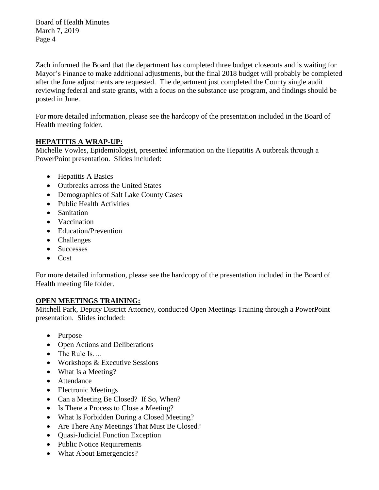Zach informed the Board that the department has completed three budget closeouts and is waiting for Mayor's Finance to make additional adjustments, but the final 2018 budget will probably be completed after the June adjustments are requested. The department just completed the County single audit reviewing federal and state grants, with a focus on the substance use program, and findings should be posted in June.

For more detailed information, please see the hardcopy of the presentation included in the Board of Health meeting folder.

# **HEPATITIS A WRAP-UP:**

Michelle Vowles, Epidemiologist, presented information on the Hepatitis A outbreak through a PowerPoint presentation. Slides included:

- Hepatitis A Basics
- Outbreaks across the United States
- Demographics of Salt Lake County Cases
- Public Health Activities
- Sanitation
- Vaccination
- Education/Prevention
- Challenges
- Successes
- Cost

For more detailed information, please see the hardcopy of the presentation included in the Board of Health meeting file folder.

# **OPEN MEETINGS TRAINING:**

Mitchell Park, Deputy District Attorney, conducted Open Meetings Training through a PowerPoint presentation. Slides included:

- Purpose
- Open Actions and Deliberations
- The Rule Is....
- Workshops & Executive Sessions
- What Is a Meeting?
- Attendance
- Electronic Meetings
- Can a Meeting Be Closed? If So, When?
- Is There a Process to Close a Meeting?
- What Is Forbidden During a Closed Meeting?
- Are There Any Meetings That Must Be Closed?
- Quasi-Judicial Function Exception
- Public Notice Requirements
- What About Emergencies?